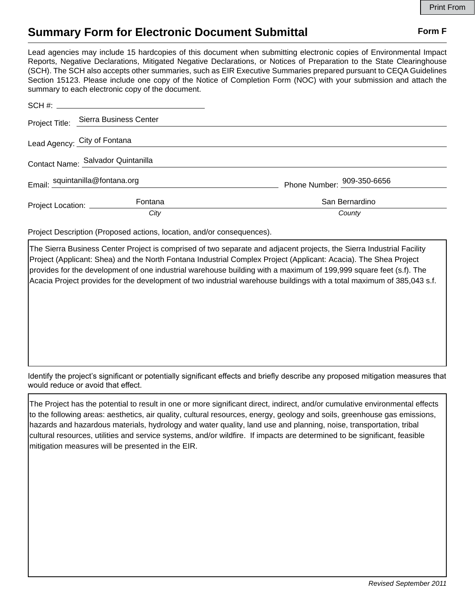## **Summary Form for Electronic Document Submittal Form F Form F**

Lead agencies may include 15 hardcopies of this document when submitting electronic copies of Environmental Impact Reports, Negative Declarations, Mitigated Negative Declarations, or Notices of Preparation to the State Clearinghouse (SCH). The SCH also accepts other summaries, such as EIR Executive Summaries prepared pursuant to CEQA Guidelines Section 15123. Please include one copy of the Notice of Completion Form (NOC) with your submission and attach the summary to each electronic copy of the document.

|                                    | Project Title: Sierra Business Center |                            |
|------------------------------------|---------------------------------------|----------------------------|
| Lead Agency: City of Fontana       |                                       |                            |
| Contact Name: Salvador Quintanilla |                                       |                            |
| Email: squintanilla@fontana.org    |                                       | Phone Number: 009-350-6656 |
| Project Location: __________       | Fontana                               | San Bernardino             |
|                                    | City                                  | County                     |

Project Description (Proposed actions, location, and/or consequences).

The Sierra Business Center Project is comprised of two separate and adjacent projects, the Sierra Industrial Facility Project (Applicant: Shea) and the North Fontana Industrial Complex Project (Applicant: Acacia). The Shea Project provides for the development of one industrial warehouse building with a maximum of 199,999 square feet (s.f). The Acacia Project provides for the development of two industrial warehouse buildings with a total maximum of 385,043 s.f.

Identify the project's significant or potentially significant effects and briefly describe any proposed mitigation measures that would reduce or avoid that effect.

The Project has the potential to result in one or more significant direct, indirect, and/or cumulative environmental effects to the following areas: aesthetics, air quality, cultural resources, energy, geology and soils, greenhouse gas emissions, hazards and hazardous materials, hydrology and water quality, land use and planning, noise, transportation, tribal cultural resources, utilities and service systems, and/or wildfire. If impacts are determined to be significant, feasible mitigation measures will be presented in the EIR.